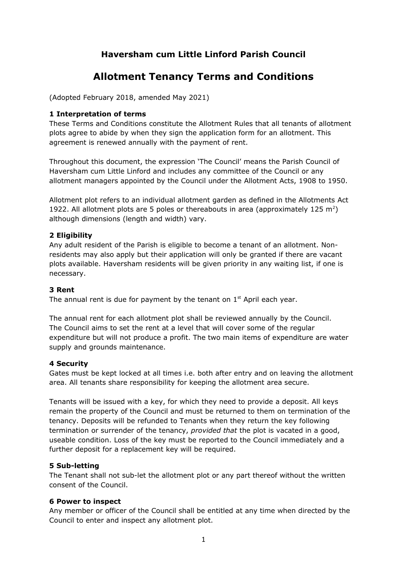## **Haversham cum Little Linford Parish Council**

# **Allotment Tenancy Terms and Conditions**

(Adopted February 2018, amended May 2021)

## **1 Interpretation of terms**

These Terms and Conditions constitute the Allotment Rules that all tenants of allotment plots agree to abide by when they sign the application form for an allotment. This agreement is renewed annually with the payment of rent.

Throughout this document, the expression 'The Council' means the Parish Council of Haversham cum Little Linford and includes any committee of the Council or any allotment managers appointed by the Council under the Allotment Acts, 1908 to 1950.

Allotment plot refers to an individual allotment garden as defined in the Allotments Act 1922. All allotment plots are 5 poles or thereabouts in area (approximately 125 m<sup>2</sup>) although dimensions (length and width) vary.

#### **2 Eligibility**

Any adult resident of the Parish is eligible to become a tenant of an allotment. Nonresidents may also apply but their application will only be granted if there are vacant plots available. Haversham residents will be given priority in any waiting list, if one is necessary.

#### **3 Rent**

The annual rent is due for payment by the tenant on  $1<sup>st</sup>$  April each year.

The annual rent for each allotment plot shall be reviewed annually by the Council. The Council aims to set the rent at a level that will cover some of the regular expenditure but will not produce a profit. The two main items of expenditure are water supply and grounds maintenance.

#### **4 Security**

Gates must be kept locked at all times i.e. both after entry and on leaving the allotment area. All tenants share responsibility for keeping the allotment area secure.

Tenants will be issued with a key, for which they need to provide a deposit. All keys remain the property of the Council and must be returned to them on termination of the tenancy. Deposits will be refunded to Tenants when they return the key following termination or surrender of the tenancy, *provided that* the plot is vacated in a good, useable condition. Loss of the key must be reported to the Council immediately and a further deposit for a replacement key will be required.

## **5 Sub-letting**

The Tenant shall not sub-let the allotment plot or any part thereof without the written consent of the Council.

#### **6 Power to inspect**

Any member or officer of the Council shall be entitled at any time when directed by the Council to enter and inspect any allotment plot.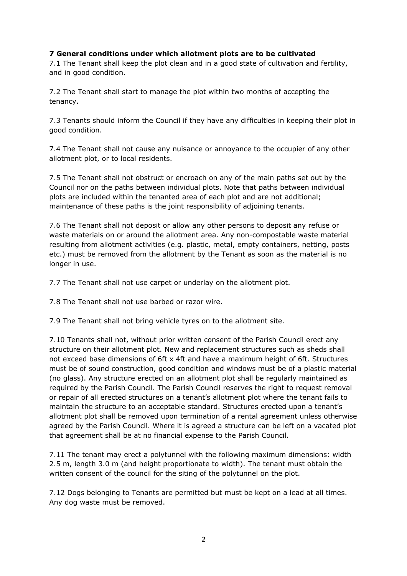## **7 General conditions under which allotment plots are to be cultivated**

7.1 The Tenant shall keep the plot clean and in a good state of cultivation and fertility, and in good condition.

7.2 The Tenant shall start to manage the plot within two months of accepting the tenancy.

7.3 Tenants should inform the Council if they have any difficulties in keeping their plot in good condition.

7.4 The Tenant shall not cause any nuisance or annoyance to the occupier of any other allotment plot, or to local residents.

7.5 The Tenant shall not obstruct or encroach on any of the main paths set out by the Council nor on the paths between individual plots. Note that paths between individual plots are included within the tenanted area of each plot and are not additional; maintenance of these paths is the joint responsibility of adjoining tenants.

7.6 The Tenant shall not deposit or allow any other persons to deposit any refuse or waste materials on or around the allotment area. Any non-compostable waste material resulting from allotment activities (e.g. plastic, metal, empty containers, netting, posts etc.) must be removed from the allotment by the Tenant as soon as the material is no longer in use.

7.7 The Tenant shall not use carpet or underlay on the allotment plot.

7.8 The Tenant shall not use barbed or razor wire.

7.9 The Tenant shall not bring vehicle tyres on to the allotment site.

7.10 Tenants shall not, without prior written consent of the Parish Council erect any structure on their allotment plot. New and replacement structures such as sheds shall not exceed base dimensions of 6ft x 4ft and have a maximum height of 6ft. Structures must be of sound construction, good condition and windows must be of a plastic material (no glass). Any structure erected on an allotment plot shall be regularly maintained as required by the Parish Council. The Parish Council reserves the right to request removal or repair of all erected structures on a tenant's allotment plot where the tenant fails to maintain the structure to an acceptable standard. Structures erected upon a tenant's allotment plot shall be removed upon termination of a rental agreement unless otherwise agreed by the Parish Council. Where it is agreed a structure can be left on a vacated plot that agreement shall be at no financial expense to the Parish Council.

7.11 The tenant may erect a polytunnel with the following maximum dimensions: width 2.5 m, length 3.0 m (and height proportionate to width). The tenant must obtain the written consent of the council for the siting of the polytunnel on the plot.

7.12 Dogs belonging to Tenants are permitted but must be kept on a lead at all times. Any dog waste must be removed.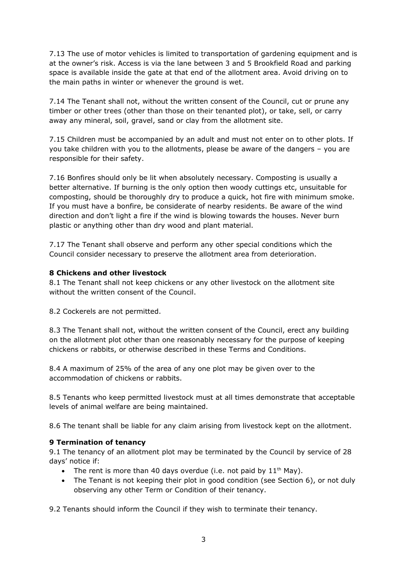7.13 The use of motor vehicles is limited to transportation of gardening equipment and is at the owner's risk. Access is via the lane between 3 and 5 Brookfield Road and parking space is available inside the gate at that end of the allotment area. Avoid driving on to the main paths in winter or whenever the ground is wet.

7.14 The Tenant shall not, without the written consent of the Council, cut or prune any timber or other trees (other than those on their tenanted plot), or take, sell, or carry away any mineral, soil, gravel, sand or clay from the allotment site.

7.15 Children must be accompanied by an adult and must not enter on to other plots. If you take children with you to the allotments, please be aware of the dangers – you are responsible for their safety.

7.16 Bonfires should only be lit when absolutely necessary. Composting is usually a better alternative. If burning is the only option then woody cuttings etc, unsuitable for composting, should be thoroughly dry to produce a quick, hot fire with minimum smoke. If you must have a bonfire, be considerate of nearby residents. Be aware of the wind direction and don't light a fire if the wind is blowing towards the houses. Never burn plastic or anything other than dry wood and plant material.

7.17 The Tenant shall observe and perform any other special conditions which the Council consider necessary to preserve the allotment area from deterioration.

## **8 Chickens and other livestock**

8.1 The Tenant shall not keep chickens or any other livestock on the allotment site without the written consent of the Council.

8.2 Cockerels are not permitted.

8.3 The Tenant shall not, without the written consent of the Council, erect any building on the allotment plot other than one reasonably necessary for the purpose of keeping chickens or rabbits, or otherwise described in these Terms and Conditions.

8.4 A maximum of 25% of the area of any one plot may be given over to the accommodation of chickens or rabbits.

8.5 Tenants who keep permitted livestock must at all times demonstrate that acceptable levels of animal welfare are being maintained.

8.6 The tenant shall be liable for any claim arising from livestock kept on the allotment.

## **9 Termination of tenancy**

9.1 The tenancy of an allotment plot may be terminated by the Council by service of 28 days' notice if:

- The rent is more than 40 days overdue (i.e. not paid by  $11<sup>th</sup>$  May).
- The Tenant is not keeping their plot in good condition (see Section 6), or not duly observing any other Term or Condition of their tenancy.

9.2 Tenants should inform the Council if they wish to terminate their tenancy.